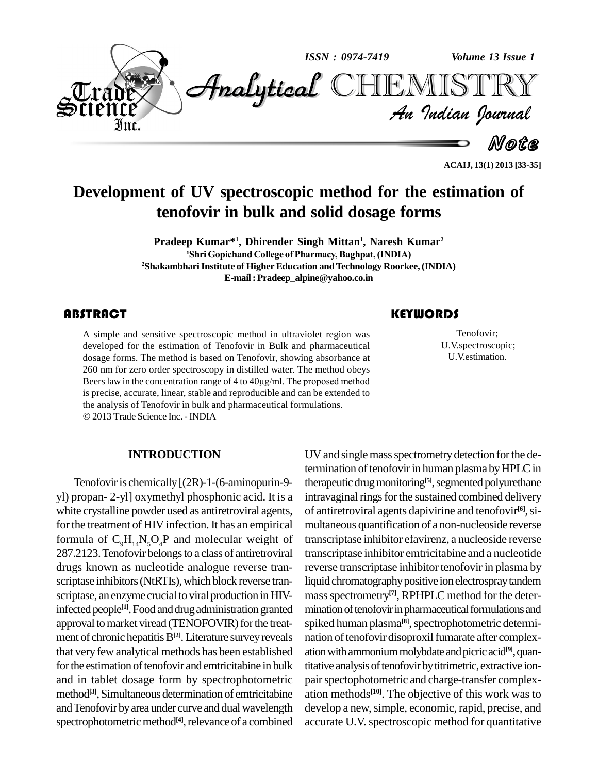

**ACAIJ, 13(1) 2013 [33-35]**

# **Development of UV spectroscopic method for the estimation of tenofovir in bulk and solid dosage forms**

**Pradeep Kumar\* 1 , Dhirender Singh Mittan 1 , Naresh Kumar 2 Gopichand College ofPharmacy,Baghpat,(INDIA) <sup>2</sup>ShakambhariInstitute of HigherEducation andTechnology Roorkee, (INDIA) E-mail:[Pradeep\\_alpine@yahoo.co.in](mailto:Pradeep_alpine@yahoo.co.in)**

## **ABSTRACT**

A simple and sensitive<br>developed for the estim<br>dosage forms. The meth A simple and sensitive spectroscopic method in ultraviolet region was developed for the estimation of Tenofovir in Bulk and pharmaceutical dosage forms. The method is based on Tenofovir, showing absorbance at 260 nm for zero order spectroscopy in distilled water. The method obeys Beers law in the concentration range of 4 to  $40\mu\text{g/ml}$ . The proposed method is precise, accurate, linear, stable and reproducible and can be extended to the analysis of Tenofovir in bulk and pharmaceutical formulations. 2013 Trade Science Inc. -INDIA

#### **INTRODUCTION**

Tenofovir is chemically  $[(2R)-1-(6-aminopurin-9-1]$ yl) propan- 2-yl] oxymethyl phosphonic acid. It is a white crystalline powder used as antiretroviral agents, for the treatment of HIV infection. It has an empirical formula of  $C_0H_{14}N_5O_4P$  and molecular weight of 287.2123.Tenofovir belongsto a class of antiretroviral drugs known as nucleotide analogue reverse tran scriptase inhibitors (NtRTIs), which block reverse transcriptase, an enzyme crucial to viral production in HIVinfected people<sup>[1]</sup>. Food and drug administration granted mination approval to market viread (TENOFOVIR) for the treatment of chronic hepatitis B<sup>[2]</sup>. Literature survey reveals that veryfew analytical methods has been established for the estimation of tenofovir and emtricitabine in bulk and in tablet dosage form by spectrophotometric method<sup>[3]</sup>, Simultaneous determination of emtricitabine ation and Tenofovir by area under curve and dual wavelength spectrophotometric method<sup>[4]</sup>, relevance of a combined accurate

# **KEYWORDS**

Tenofovir;<br>U.V.spectrosco<br>U.V.estimatio Tenofovir; U.V.spectroscopic; U.V.estimation.

UV and single mass spectrometry detection for the determination of tenofovir in human plasma by HPLC in therapeutic drug monitoring<sup>[5]</sup>, segmented polyurethane intravaginal rings for the sustained combined delivery of antiretroviral agents dapivirine and tenofovir **[6]**,si multaneous quantification of a non-nucleoside reverse transcriptase inhibitor efavirenz, a nucleoside reverse transcriptase inhibitor emtricitabine and a nucleotide reverse transcriptase inhibitor tenofovir in plasma by liquid chromatography positive ion electrospray tandem massspectrometry **[7]**, RPHPLC method for the deter mination of tenofovir in pharmaceutical formulations and spiked human plasma<sup>[8]</sup>, spectrophotometric determination of tenofovir disoproxil fumarate after complexation with ammonium molybdate and picric acid<sup>[9]</sup>, quantitative analysis of tenofovir by titrimetric, extractive ionpair spectophotometric and charge-transfer complexation methods **[10]**. The objective of this work was to develop a new, simple, economic, rapid, precise, and accurate U.V.spectroscopic method for quantitative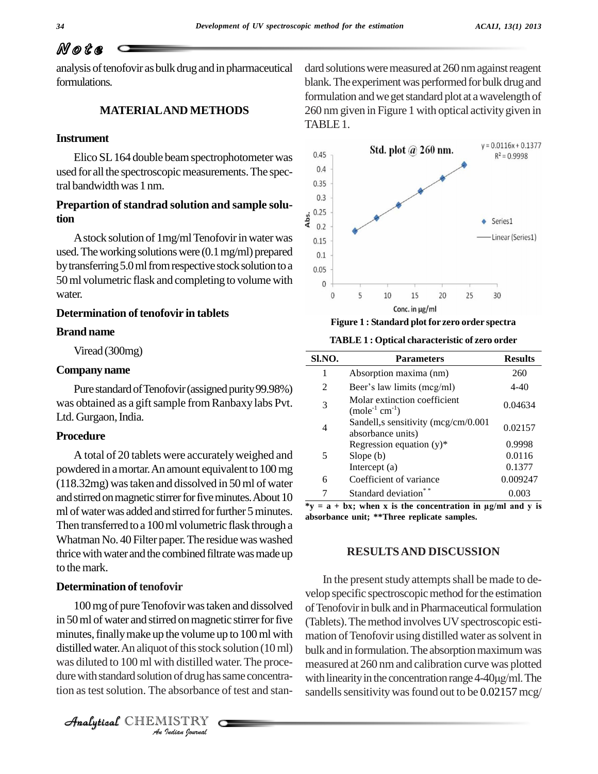# N o t e

analysis of tenofovir as bulk drug and in pharmaceutical formulations.

# **MATERIALAND METHODS**

#### **Instrument**

Elico SL 164 double beam spectrophotometer was  $^{0.45}$ <br>d for all the apertressonic measurements. The apex used for all the spectroscopic measurements. The spectral bandwidthwas 1 nm.

# **Prepartion of standrad solution and sample solution**

A stock solution of  $1$ mg/ml Tenofovir in water was  $_{0.15}$ used. The working solutions were  $(0.1 \text{ mg/ml})$  prepared  $_{0.1}$ by transferring 5.0 ml from respective stock solution to a  $_{0.05}$ 50 ml volumetric flask and completing to volume with  $\frac{1}{0}$ water.

### **Determination of tenofovir in tablets**

#### **Brand name**

Viread (300mg)

#### **Companyname**

Pure standard of Tenofovir (assigned purity 99.98%) was obtained as a gift sample from Ranbaxy labs Pvt. Ltd. Gurgaon, India.

#### **Procedure**

A total of 20 tablets were accurately weighed and powdered in amortar.An amount equivalentto 100mg (118.32mg) wastaken and dissolved in 50ml of water and stirred on magnetic stirrer for five minutes. About 10 ml of water was added and stirred for further 5 minutes. Then transferred toa 100ml volumetric flask through a Whatman No. 40 Filter paper. The residue was washed thrice with water and the combined filtrate was made up to themark.

### **Determination of tenofovir**

distilled water. An aliquot of this stock solution (10 ml) bull dustilled water. An aliquot of this stock solution (10 ml) bull<br>
was diluted to 100 ml with distilled water. The proce-<br>
dure with standard solution of drug has same concentra-<br>
with<br>
tion as test solution. The absorbance 100mg of pureTenofovirwastaken and dissolved in 50 ml of water and stirred on magnetic stirrer for five minutes, finally make up the volume up to 100 ml with dure with standard solution of drug has same concentration as test solution. The absorbance of test and stan-

Analytical CHEMISTRY

dard solutions were measured at 260 nm against reagent blank. The experiment was performed for bulk drug and formulation and we get standard plot at a wavelength of 260 nmgiven in Figure 1 with optical activitygiven in TABLE1.



**Figure 1 : Standard plot for zero order spectra**

**TABLE 1 : Optical characteristic of zero order**

| SI.NO. | <b>Parameters</b>                                               | <b>Results</b> |
|--------|-----------------------------------------------------------------|----------------|
| 1      | Absorption maxima (nm)                                          | 260            |
| 2      | Beer's law limits (mcg/ml)                                      | $4 - 40$       |
| 3      | Molar extinction coefficient<br>$(mole^{-1}$ cm <sup>-1</sup> ) | 0.04634        |
| 4      | Sandell, s sensitivity ( $mcg/cm/0.001$<br>absorbance units)    | 0.02157        |
| 5      | Regression equation $(y)^*$                                     | 0.9998         |
|        | Slope(b)                                                        | 0.0116         |
|        | Intercept $(a)$                                                 | 0.1377         |
| 6      | Coefficient of variance                                         | 0.009247       |
|        | Standard deviation                                              | 0.003          |

**\*y <sup>=</sup> <sup>a</sup> <sup>+</sup> bx; when <sup>x</sup> is the concentration in µg/ml and <sup>y</sup> is absorbance unit; \*\*Three replicate samples.**

#### **RESULTSAND DISCUSSION**

In the present study attempts shall be made to develop specific spectroscopic method for the estimation of Tenofovir in bulk and in Pharmaceutical formulation (Tablets). The method involves UV spectroscopic estimation of Tenofovir using distilled water as solvent in bulk and in formulation. The absorption maximum was measured at 260 nmand calibration curve was plotted bulk and in formulation. The absorption maximum was<br>measured at 260 nm and calibration curve was plotted<br>with linearity in the concentration range 4-40µg/ml. The sandells sensitivity was found out to be 0.02157 mcg/